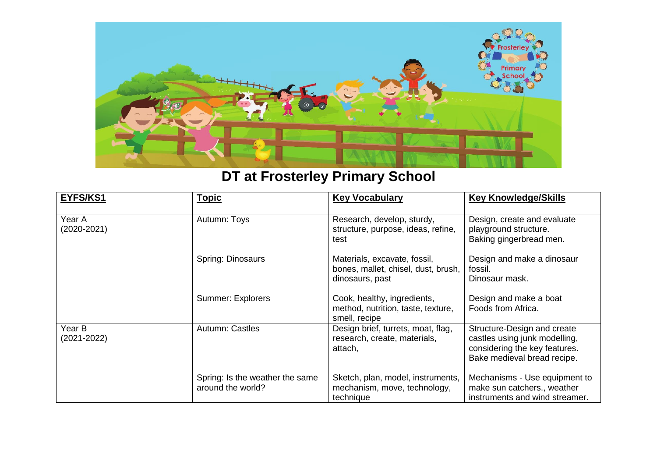

## **DT at Frosterley Primary School**

| EYFS/KS1              | <b>Topic</b>                                         | <b>Key Vocabulary</b>                                                                  | <b>Key Knowledge/Skills</b>                                                                                                  |
|-----------------------|------------------------------------------------------|----------------------------------------------------------------------------------------|------------------------------------------------------------------------------------------------------------------------------|
| Year A<br>(2020-2021) | Autumn: Toys                                         | Research, develop, sturdy,<br>structure, purpose, ideas, refine,<br>test               | Design, create and evaluate<br>playground structure.<br>Baking gingerbread men.                                              |
|                       | Spring: Dinosaurs                                    | Materials, excavate, fossil,<br>bones, mallet, chisel, dust, brush,<br>dinosaurs, past | Design and make a dinosaur<br>fossil.<br>Dinosaur mask.                                                                      |
|                       | Summer: Explorers                                    | Cook, healthy, ingredients,<br>method, nutrition, taste, texture,<br>smell, recipe     | Design and make a boat<br>Foods from Africa.                                                                                 |
| Year B<br>(2021-2022) | Autumn: Castles                                      | Design brief, turrets, moat, flag,<br>research, create, materials,<br>attach,          | Structure-Design and create<br>castles using junk modelling,<br>considering the key features.<br>Bake medieval bread recipe. |
|                       | Spring: Is the weather the same<br>around the world? | Sketch, plan, model, instruments,<br>mechanism, move, technology,<br>technique         | Mechanisms - Use equipment to<br>make sun catchers., weather<br>instruments and wind streamer.                               |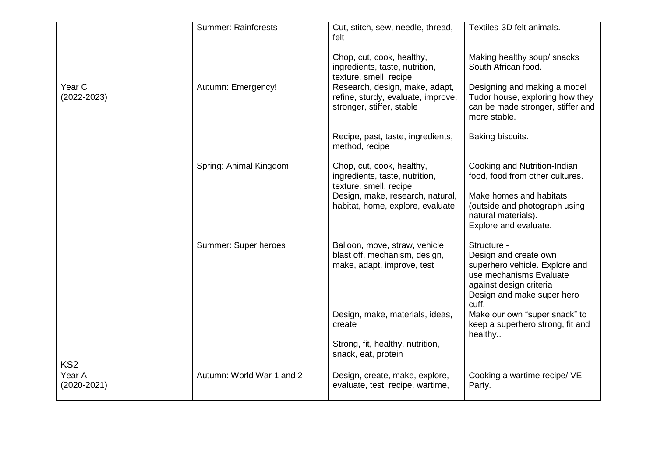|                           | <b>Summer: Rainforests</b> | Cut, stitch, sew, needle, thread,<br>felt                                                         | Textiles-3D felt animals.                                                                                                                                           |
|---------------------------|----------------------------|---------------------------------------------------------------------------------------------------|---------------------------------------------------------------------------------------------------------------------------------------------------------------------|
|                           |                            | Chop, cut, cook, healthy,<br>ingredients, taste, nutrition,<br>texture, smell, recipe             | Making healthy soup/ snacks<br>South African food.                                                                                                                  |
| Year C<br>$(2022 - 2023)$ | Autumn: Emergency!         | Research, design, make, adapt,<br>refine, sturdy, evaluate, improve,<br>stronger, stiffer, stable | Designing and making a model<br>Tudor house, exploring how they<br>can be made stronger, stiffer and<br>more stable.                                                |
|                           |                            | Recipe, past, taste, ingredients,<br>method, recipe                                               | Baking biscuits.                                                                                                                                                    |
|                           | Spring: Animal Kingdom     | Chop, cut, cook, healthy,<br>ingredients, taste, nutrition,<br>texture, smell, recipe             | Cooking and Nutrition-Indian<br>food, food from other cultures.                                                                                                     |
|                           |                            | Design, make, research, natural,<br>habitat, home, explore, evaluate                              | Make homes and habitats<br>(outside and photograph using<br>natural materials).<br>Explore and evaluate.                                                            |
|                           | Summer: Super heroes       | Balloon, move, straw, vehicle,<br>blast off, mechanism, design,<br>make, adapt, improve, test     | Structure -<br>Design and create own<br>superhero vehicle. Explore and<br>use mechanisms Evaluate<br>against design criteria<br>Design and make super hero<br>cuff. |
|                           |                            | Design, make, materials, ideas,<br>create                                                         | Make our own "super snack" to<br>keep a superhero strong, fit and<br>healthy                                                                                        |
|                           |                            | Strong, fit, healthy, nutrition,<br>snack, eat, protein                                           |                                                                                                                                                                     |
| KS <sub>2</sub>           |                            |                                                                                                   |                                                                                                                                                                     |
| Year A<br>$(2020 - 2021)$ | Autumn: World War 1 and 2  | Design, create, make, explore,<br>evaluate, test, recipe, wartime,                                | Cooking a wartime recipe/ VE<br>Party.                                                                                                                              |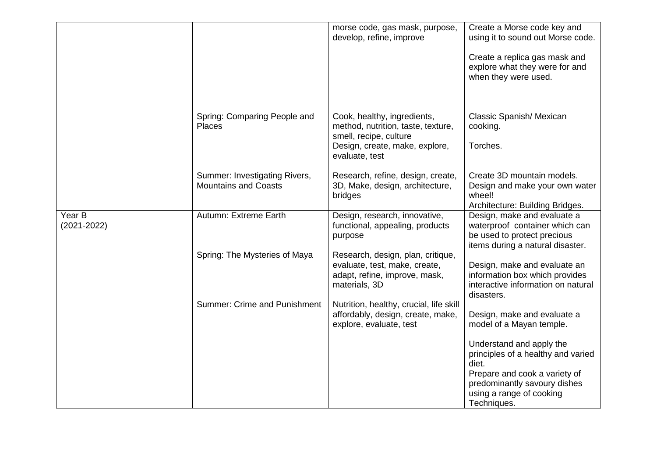|                           |                                                              | morse code, gas mask, purpose,<br>develop, refine, improve                                                                                      | Create a Morse code key and<br>using it to sound out Morse code.                                                                                                                    |
|---------------------------|--------------------------------------------------------------|-------------------------------------------------------------------------------------------------------------------------------------------------|-------------------------------------------------------------------------------------------------------------------------------------------------------------------------------------|
|                           |                                                              |                                                                                                                                                 | Create a replica gas mask and<br>explore what they were for and<br>when they were used.                                                                                             |
|                           | Spring: Comparing People and<br>Places                       | Cook, healthy, ingredients,<br>method, nutrition, taste, texture,<br>smell, recipe, culture<br>Design, create, make, explore,<br>evaluate, test | Classic Spanish/ Mexican<br>cooking.<br>Torches.                                                                                                                                    |
|                           | Summer: Investigating Rivers,<br><b>Mountains and Coasts</b> | Research, refine, design, create,<br>3D, Make, design, architecture,<br>bridges                                                                 | Create 3D mountain models.<br>Design and make your own water<br>wheel!<br>Architecture: Building Bridges.                                                                           |
| Year B<br>$(2021 - 2022)$ | Autumn: Extreme Earth                                        | Design, research, innovative,<br>functional, appealing, products<br>purpose                                                                     | Design, make and evaluate a<br>waterproof container which can<br>be used to protect precious<br>items during a natural disaster.                                                    |
|                           | Spring: The Mysteries of Maya                                | Research, design, plan, critique,<br>evaluate, test, make, create,<br>adapt, refine, improve, mask,<br>materials, 3D                            | Design, make and evaluate an<br>information box which provides<br>interactive information on natural<br>disasters.                                                                  |
|                           | <b>Summer: Crime and Punishment</b>                          | Nutrition, healthy, crucial, life skill<br>affordably, design, create, make,<br>explore, evaluate, test                                         | Design, make and evaluate a<br>model of a Mayan temple.                                                                                                                             |
|                           |                                                              |                                                                                                                                                 | Understand and apply the<br>principles of a healthy and varied<br>diet.<br>Prepare and cook a variety of<br>predominantly savoury dishes<br>using a range of cooking<br>Techniques. |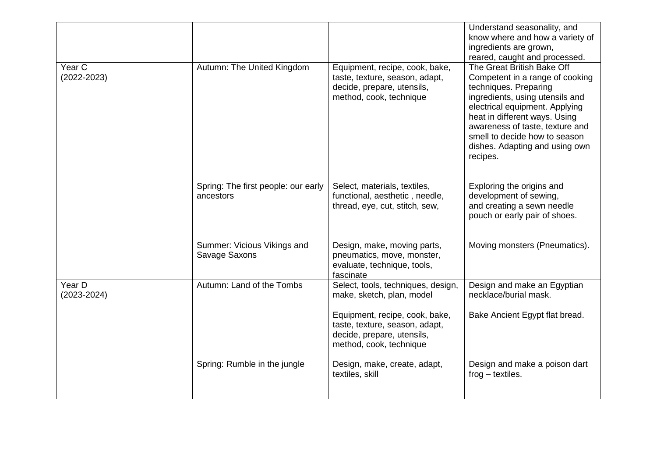|                           |                                                  |                                                                                                                                                                                              | Understand seasonality, and<br>know where and how a variety of<br>ingredients are grown,<br>reared, caught and processed.                                                                                                                                                                                      |
|---------------------------|--------------------------------------------------|----------------------------------------------------------------------------------------------------------------------------------------------------------------------------------------------|----------------------------------------------------------------------------------------------------------------------------------------------------------------------------------------------------------------------------------------------------------------------------------------------------------------|
| Year C<br>$(2022 - 2023)$ | Autumn: The United Kingdom                       | Equipment, recipe, cook, bake,<br>taste, texture, season, adapt,<br>decide, prepare, utensils,<br>method, cook, technique                                                                    | The Great British Bake Off<br>Competent in a range of cooking<br>techniques. Preparing<br>ingredients, using utensils and<br>electrical equipment. Applying<br>heat in different ways. Using<br>awareness of taste, texture and<br>smell to decide how to season<br>dishes. Adapting and using own<br>recipes. |
|                           | Spring: The first people: our early<br>ancestors | Select, materials, textiles,<br>functional, aesthetic, needle,<br>thread, eye, cut, stitch, sew,                                                                                             | Exploring the origins and<br>development of sewing,<br>and creating a sewn needle<br>pouch or early pair of shoes.                                                                                                                                                                                             |
|                           | Summer: Vicious Vikings and<br>Savage Saxons     | Design, make, moving parts,<br>pneumatics, move, monster,<br>evaluate, technique, tools,<br>fascinate                                                                                        | Moving monsters (Pneumatics).                                                                                                                                                                                                                                                                                  |
| Year D<br>$(2023 - 2024)$ | Autumn: Land of the Tombs                        | Select, tools, techniques, design,<br>make, sketch, plan, model<br>Equipment, recipe, cook, bake,<br>taste, texture, season, adapt,<br>decide, prepare, utensils,<br>method, cook, technique | Design and make an Egyptian<br>necklace/burial mask.<br>Bake Ancient Egypt flat bread.                                                                                                                                                                                                                         |
|                           | Spring: Rumble in the jungle                     | Design, make, create, adapt,<br>textiles, skill                                                                                                                                              | Design and make a poison dart<br>$frog - textiles.$                                                                                                                                                                                                                                                            |